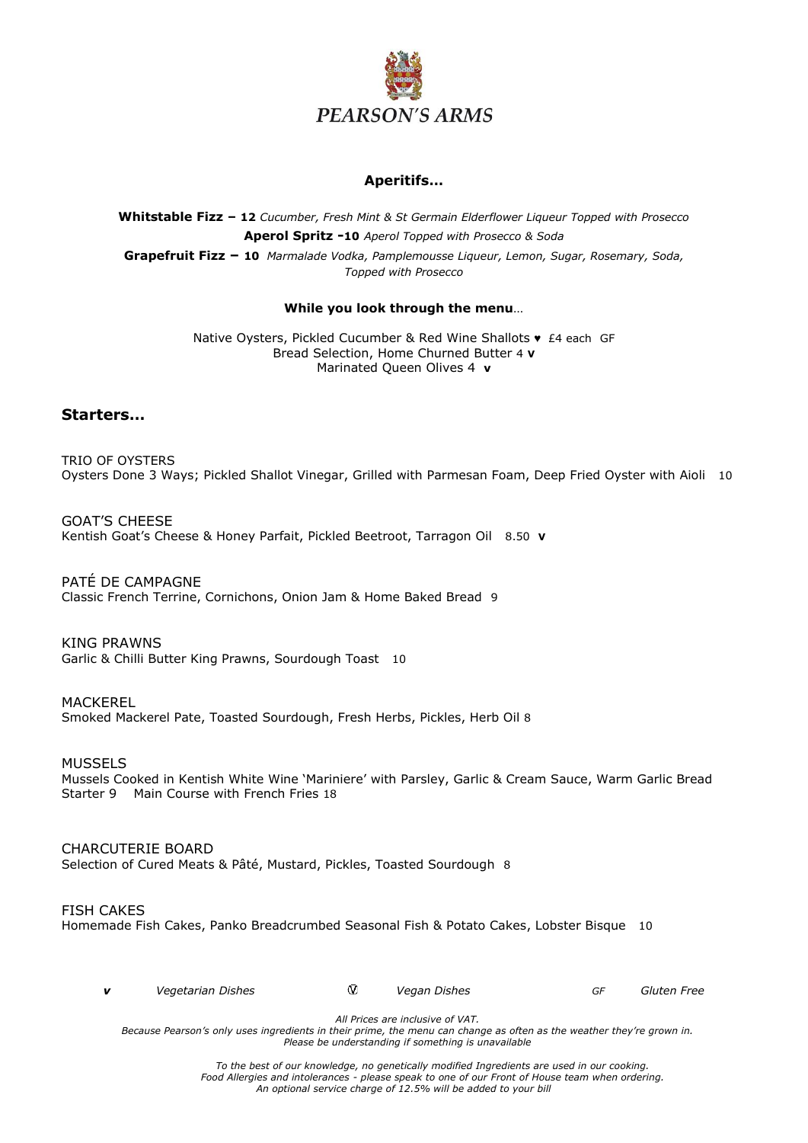

## **Aperitifs…**

## **Whitstable Fizz – 12** *Cucumber, Fresh Mint & St Germain Elderflower Liqueur Topped with Prosecco* **Aperol Spritz -10** *Aperol Topped with Prosecco & Soda* **Grapefruit Fizz – 10** *Marmalade Vodka, Pamplemousse Liqueur, Lemon, Sugar, Rosemary, Soda, Topped with Prosecco*

#### **While you look through the menu**…

Native Oysters, Pickled Cucumber & Red Wine Shallots ♥ £4 each GF Bread Selection, Home Churned Butter 4 **V** Marinated Queen Olives 4 **v**

## **Starters…**

TRIO OF OYSTERS Oysters Done 3 Ways; Pickled Shallot Vinegar, Grilled with Parmesan Foam, Deep Fried Oyster with Aioli 10

GOAT'S CHEESE Kentish Goat's Cheese & Honey Parfait, Pickled Beetroot, Tarragon Oil 8.50 **V**

PATÉ DE CAMPAGNE Classic French Terrine, Cornichons, Onion Jam & Home Baked Bread 9

KING PRAWNS Garlic & Chilli Butter King Prawns, Sourdough Toast 10

MACKEREL Smoked Mackerel Pate, Toasted Sourdough, Fresh Herbs, Pickles, Herb Oil 8

MUSSELS

Mussels Cooked in Kentish White Wine 'Mariniere' with Parsley, Garlic & Cream Sauce, Warm Garlic Bread Starter 9 Main Course with French Fries 18

CHARCUTERIE BOARD Selection of Cured Meats & Pâté, Mustard, Pickles, Toasted Sourdough 8

#### FISH CAKES

Homemade Fish Cakes, Panko Breadcrumbed Seasonal Fish & Potato Cakes, Lobster Bisque 10

|  | Vegetarian Dishes |  | Vegan Dishes |  | Gluten Free |
|--|-------------------|--|--------------|--|-------------|
|--|-------------------|--|--------------|--|-------------|

*All Prices are inclusive of VAT.*

*Because Pearson's only uses ingredients in their prime, the menu can change as often as the weather they're grown in. Please be understanding if something is unavailable*

> *To the best of our knowledge, no genetically modified Ingredients are used in our cooking. Food Allergies and intolerances - please speak to one of our Front of House team when ordering. An optional service charge of 12.5% will be added to your bill*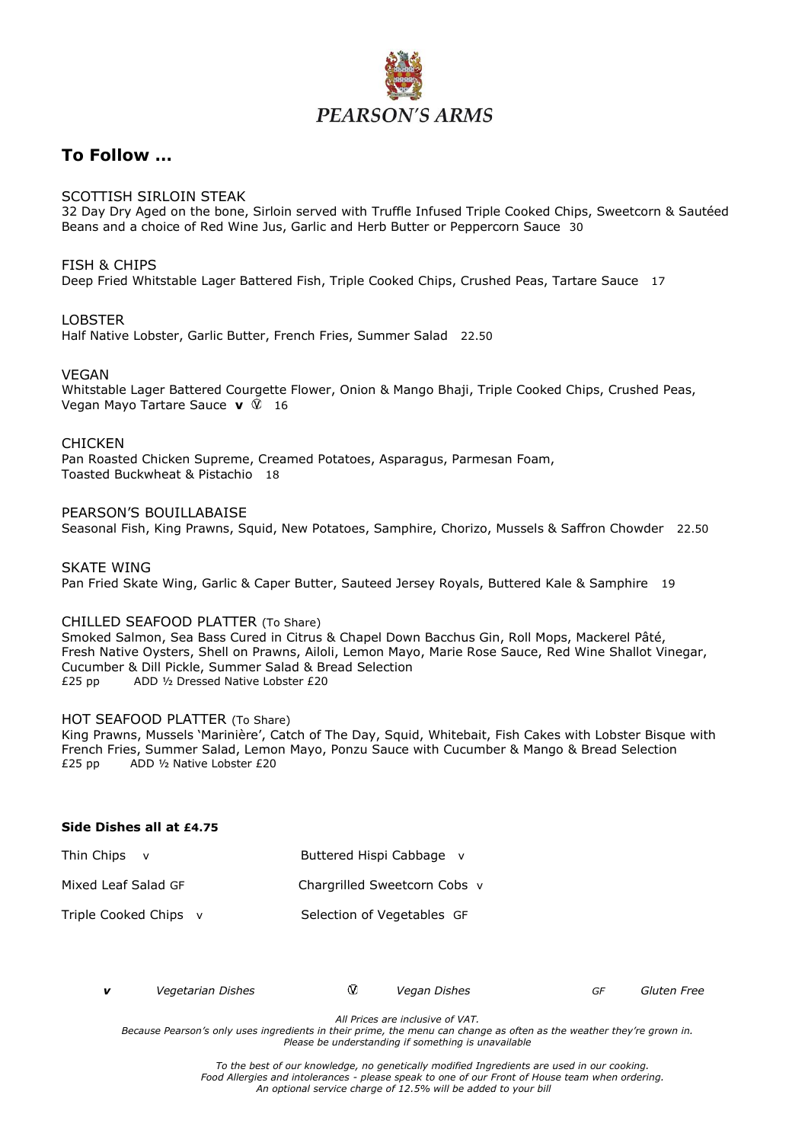

## **To Follow …**

## SCOTTISH SIRLOIN STEAK

32 Day Dry Aged on the bone, Sirloin served with Truffle Infused Triple Cooked Chips, Sweetcorn & Sautéed Beans and a choice of Red Wine Jus, Garlic and Herb Butter or Peppercorn Sauce 30

#### FISH & CHIPS

Deep Fried Whitstable Lager Battered Fish, Triple Cooked Chips, Crushed Peas, Tartare Sauce 17

#### LOBSTER

Half Native Lobster, Garlic Butter, French Fries, Summer Salad 22.50

#### VEGAN

Whitstable Lager Battered Courgette Flower, Onion & Mango Bhaji, Triple Cooked Chips, Crushed Peas, Vegan Mayo Tartare Sauce **v** 16

#### **CHICKEN**

Pan Roasted Chicken Supreme, Creamed Potatoes, Asparagus, Parmesan Foam, Toasted Buckwheat & Pistachio 18

#### PEARSON'S BOUILLABAISE

Seasonal Fish, King Prawns, Squid, New Potatoes, Samphire, Chorizo, Mussels & Saffron Chowder 22.50

#### SKATE WING

Pan Fried Skate Wing, Garlic & Caper Butter, Sauteed Jersey Royals, Buttered Kale & Samphire 19

#### CHILLED SEAFOOD PLATTER (To Share)

Smoked Salmon, Sea Bass Cured in Citrus & Chapel Down Bacchus Gin, Roll Mops, Mackerel Pâté, Fresh Native Oysters, Shell on Prawns, Ailoli, Lemon Mayo, Marie Rose Sauce, Red Wine Shallot Vinegar, Cucumber & Dill Pickle, Summer Salad & Bread Selection £25 pp ADD ½ Dressed Native Lobster £20

#### HOT SEAFOOD PLATTER (To Share)

King Prawns, Mussels 'Marinière', Catch of The Day, Squid, Whitebait, Fish Cakes with Lobster Bisque with French Fries, Summer Salad, Lemon Mayo, Ponzu Sauce with Cucumber & Mango & Bread Selection  $£25$  pp ADD  $\frac{1}{2}$  Native Lobster £20 £25 pp ADD ½ Native Lobster £20

#### **Side Dishes all at £4.75**

| Thin Chips            | Buttered Hispi Cabbage v     |
|-----------------------|------------------------------|
| Mixed Leaf Salad GF   | Chargrilled Sweetcorn Cobs v |
| Triple Cooked Chips v | Selection of Vegetables GF   |

|  | Vegetarian Dishes |  | Vegan Dishes |  | Gluten Free |
|--|-------------------|--|--------------|--|-------------|
|--|-------------------|--|--------------|--|-------------|

*All Prices are inclusive of VAT.*

*Because Pearson's only uses ingredients in their prime, the menu can change as often as the weather they're grown in. Please be understanding if something is unavailable*

> *To the best of our knowledge, no genetically modified Ingredients are used in our cooking. Food Allergies and intolerances - please speak to one of our Front of House team when ordering. An optional service charge of 12.5% will be added to your bill*